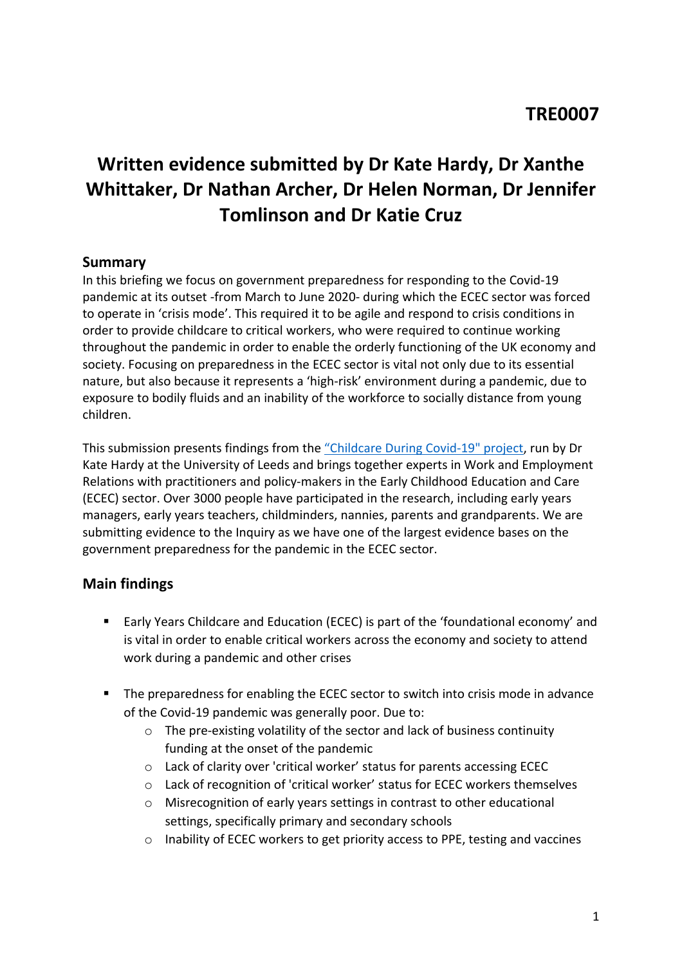# **Written evidence submitted by Dr Kate Hardy, Dr Xanthe Whittaker, Dr Nathan Archer, Dr Helen Norman, Dr Jennifer Tomlinson and Dr Katie Cruz**

## **Summary**

In this briefing we focus on government preparedness for responding to the Covid-19 pandemic at its outset -from March to June 2020- during which the ECEC sector was forced to operate in 'crisis mode'. This required it to be agile and respond to crisis conditions in order to provide childcare to critical workers, who were required to continue working throughout the pandemic in order to enable the orderly functioning of the UK economy and society. Focusing on preparedness in the ECEC sector is vital not only due to its essential nature, but also because it represents a 'high-risk' environment during a pandemic, due to exposure to bodily fluids and an inability of the workforce to socially distance from young children.

This submission presents findings from the ["Childcare](https://childcare-during-covid.org/) [During](https://childcare-during-covid.org/) [Covid-19"](https://childcare-during-covid.org/) [project,](https://childcare-during-covid.org/) run by Dr Kate Hardy at the University of Leeds and brings together experts in Work and Employment Relations with practitioners and policy-makers in the Early Childhood Education and Care (ECEC) sector. Over 3000 people have participated in the research, including early years managers, early years teachers, childminders, nannies, parents and grandparents. We are submitting evidence to the Inquiry as we have one of the largest evidence bases on the government preparedness for the pandemic in the ECEC sector.

## **Main findings**

- Early Years Childcare and Education (ECEC) is part of the 'foundational economy' and is vital in order to enable critical workers across the economy and society to attend work during a pandemic and other crises
- The preparedness for enabling the ECEC sector to switch into crisis mode in advance of the Covid-19 pandemic was generally poor. Due to:
	- o The pre-existing volatility of the sector and lack of business continuity funding at the onset of the pandemic
	- o Lack of clarity over 'critical worker' status for parents accessing ECEC
	- $\circ$  Lack of recognition of 'critical worker' status for ECEC workers themselves
	- o Misrecognition of early years settings in contrast to other educational settings, specifically primary and secondary schools
	- o Inability of ECEC workers to get priority access to PPE, testing and vaccines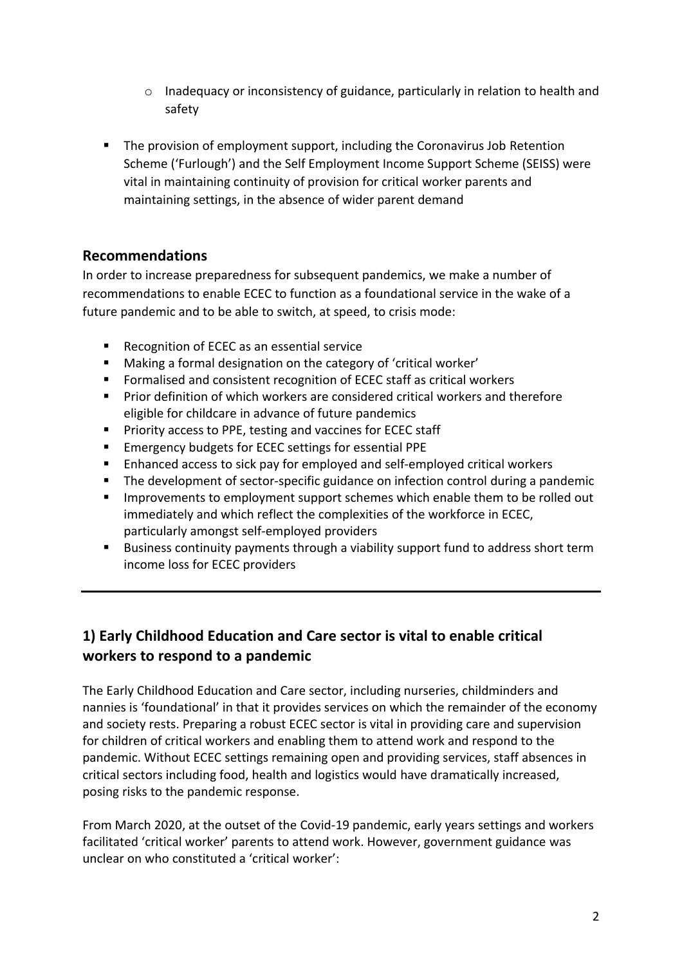- $\circ$  Inadequacy or inconsistency of guidance, particularly in relation to health and safety
- **The provision of employment support, including the Coronavirus Job Retention** Scheme ('Furlough') and the Self Employment Income Support Scheme (SEISS) were vital in maintaining continuity of provision for critical worker parents and maintaining settings, in the absence of wider parent demand

## **Recommendations**

In order to increase preparedness for subsequent pandemics, we make a number of recommendations to enable ECEC to function as a foundational service in the wake of a future pandemic and to be able to switch, at speed, to crisis mode:

- Recognition of ECEC as an essential service
- Making a formal designation on the category of 'critical worker'
- Formalised and consistent recognition of ECEC staff as critical workers
- Prior definition of which workers are considered critical workers and therefore eligible for childcare in advance of future pandemics
- **Priority access to PPE, testing and vaccines for ECEC staff**
- **Emergency budgets for ECEC settings for essential PPE**
- **Enhanced access to sick pay for employed and self-employed critical workers**
- **The development of sector-specific guidance on infection control during a pandemic**
- **IMPROM** Improvements to employment support schemes which enable them to be rolled out immediately and which reflect the complexities of the workforce in ECEC, particularly amongst self-employed providers
- **Business continuity payments through a viability support fund to address short term** income loss for ECEC providers

# **1) Early Childhood Education and Care sector is vital to enable critical workers to respond to a pandemic**

The Early Childhood Education and Care sector, including nurseries, childminders and nannies is 'foundational' in that it provides services on which the remainder of the economy and society rests. Preparing a robust ECEC sector is vital in providing care and supervision for children of critical workers and enabling them to attend work and respond to the pandemic. Without ECEC settings remaining open and providing services, staff absences in critical sectors including food, health and logistics would have dramatically increased, posing risks to the pandemic response.

From March 2020, at the outset of the Covid-19 pandemic, early years settings and workers facilitated 'critical worker' parents to attend work. However, government guidance was unclear on who constituted a 'critical worker':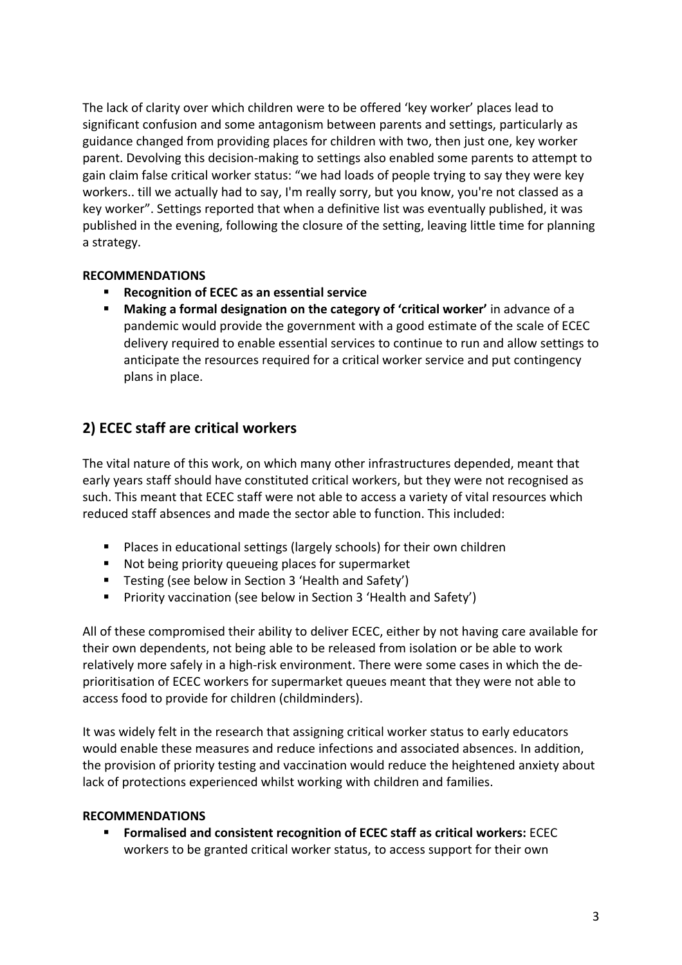The lack of clarity over which children were to be offered 'key worker' places lead to significant confusion and some antagonism between parents and settings, particularly as guidance changed from providing places for children with two, then just one, key worker parent. Devolving this decision-making to settings also enabled some parents to attempt to gain claim false critical worker status: "we had loads of people trying to say they were key workers.. till we actually had to say, I'm really sorry, but you know, you're not classed as a key worker". Settings reported that when a definitive list was eventually published, it was published in the evening, following the closure of the setting, leaving little time for planning a strategy.

#### **RECOMMENDATIONS**

- **Recognition of ECEC as an essential service**
- **Making a formal designation on the category of 'critical worker'** in advance of a pandemic would provide the government with a good estimate of the scale of ECEC delivery required to enable essential services to continue to run and allow settings to anticipate the resources required for a critical worker service and put contingency plans in place.

# **2) ECEC staff are critical workers**

The vital nature of this work, on which many other infrastructures depended, meant that early years staff should have constituted critical workers, but they were not recognised as such. This meant that ECEC staff were not able to access a variety of vital resources which reduced staff absences and made the sector able to function. This included:

- **Places in educational settings (largely schools) for their own children**
- Not being priority queueing places for supermarket
- Testing (see below in Section 3 'Health and Safety')
- **Priority vaccination (see below in Section 3 'Health and Safety')**

All of these compromised their ability to deliver ECEC, either by not having care available for their own dependents, not being able to be released from isolation or be able to work relatively more safely in a high-risk environment. There were some cases in which the deprioritisation of ECEC workers for supermarket queues meant that they were not able to access food to provide for children (childminders).

It was widely felt in the research that assigning critical worker status to early educators would enable these measures and reduce infections and associated absences. In addition, the provision of priority testing and vaccination would reduce the heightened anxiety about lack of protections experienced whilst working with children and families.

#### **RECOMMENDATIONS**

 **Formalised and consistent recognition of ECEC staff as critical workers:** ECEC workers to be granted critical worker status, to access support for their own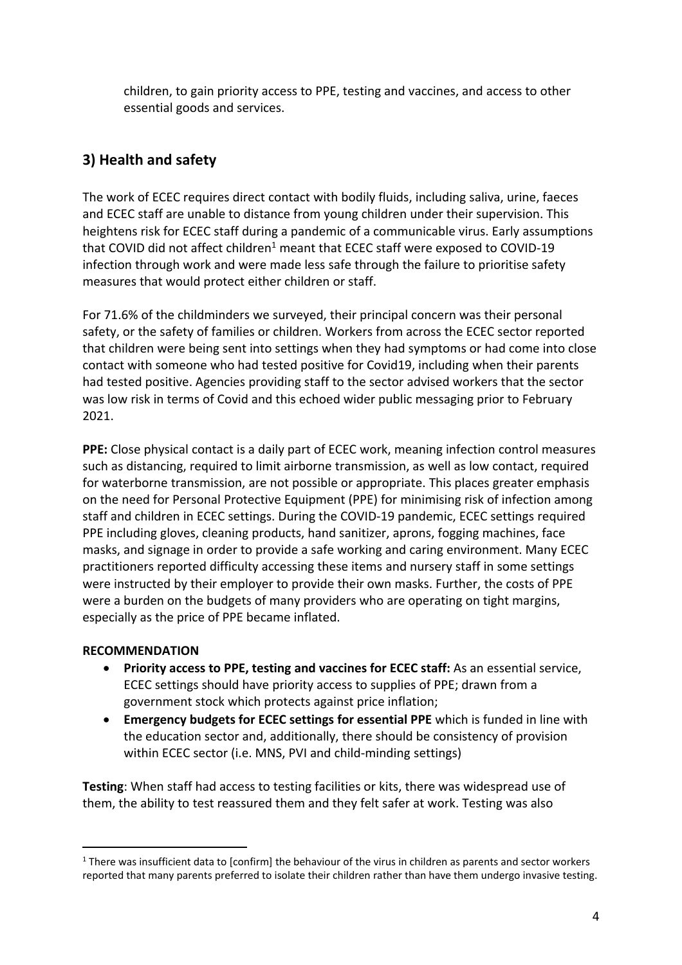children, to gain priority access to PPE, testing and vaccines, and access to other essential goods and services.

# **3) Health and safety**

The work of ECEC requires direct contact with bodily fluids, including saliva, urine, faeces and ECEC staff are unable to distance from young children under their supervision. This heightens risk for ECEC staff during a pandemic of a communicable virus. Early assumptions that COVID did not affect children<sup>1</sup> meant that ECEC staff were exposed to COVID-19 infection through work and were made less safe through the failure to prioritise safety measures that would protect either children or staff.

For 71.6% of the childminders we surveyed, their principal concern was their personal safety, or the safety of families or children. Workers from across the ECEC sector reported that children were being sent into settings when they had symptoms or had come into close contact with someone who had tested positive for Covid19, including when their parents had tested positive. Agencies providing staff to the sector advised workers that the sector was low risk in terms of Covid and this echoed wider public messaging prior to February 2021.

**PPE:** Close physical contact is a daily part of ECEC work, meaning infection control measures such as distancing, required to limit airborne transmission, as well as low contact, required for waterborne transmission, are not possible or appropriate. This places greater emphasis on the need for Personal Protective Equipment (PPE) for minimising risk of infection among staff and children in ECEC settings. During the COVID-19 pandemic, ECEC settings required PPE including gloves, cleaning products, hand sanitizer, aprons, fogging machines, face masks, and signage in order to provide a safe working and caring environment. Many ECEC practitioners reported difficulty accessing these items and nursery staff in some settings were instructed by their employer to provide their own masks. Further, the costs of PPE were a burden on the budgets of many providers who are operating on tight margins, especially as the price of PPE became inflated.

#### **RECOMMENDATION**

- **Priority access to PPE, testing and vaccines for ECEC staff:** As an essential service, ECEC settings should have priority access to supplies of PPE; drawn from a government stock which protects against price inflation;
- **Emergency budgets for ECEC settings for essential PPE** which is funded in line with the education sector and, additionally, there should be consistency of provision within ECEC sector (i.e. MNS, PVI and child-minding settings)

**Testing**: When staff had access to testing facilities or kits, there was widespread use of them, the ability to test reassured them and they felt safer at work. Testing was also

<sup>&</sup>lt;sup>1</sup> There was insufficient data to [confirm] the behaviour of the virus in children as parents and sector workers reported that many parents preferred to isolate their children rather than have them undergo invasive testing.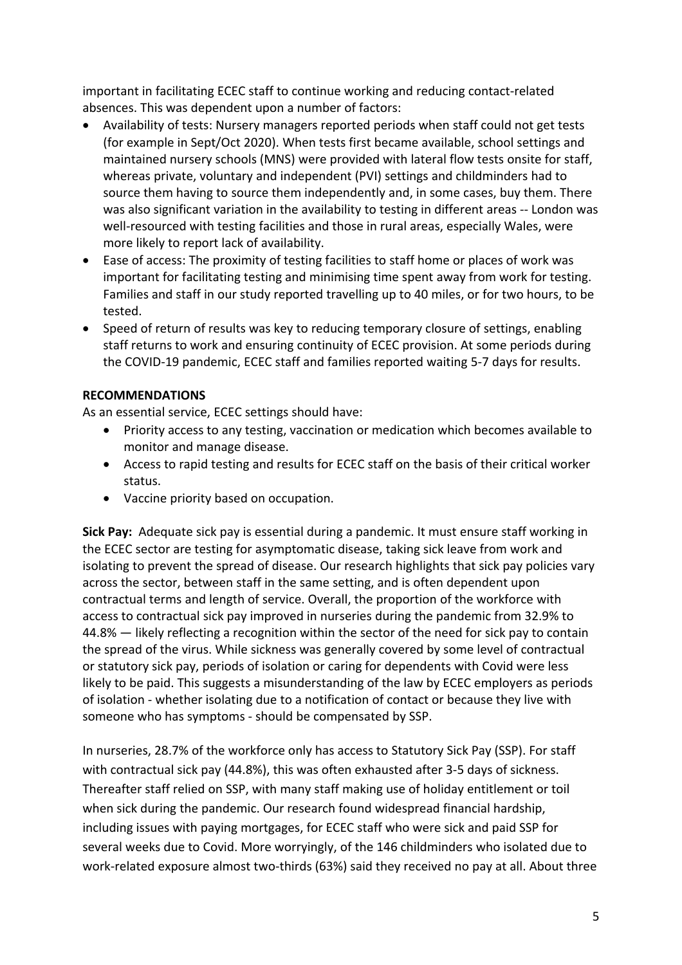important in facilitating ECEC staff to continue working and reducing contact-related absences. This was dependent upon a number of factors:

- Availability of tests: Nursery managers reported periods when staff could not get tests (for example in Sept/Oct 2020). When tests first became available, school settings and maintained nursery schools (MNS) were provided with lateral flow tests onsite for staff, whereas private, voluntary and independent (PVI) settings and childminders had to source them having to source them independently and, in some cases, buy them. There was also significant variation in the availability to testing in different areas -- London was well-resourced with testing facilities and those in rural areas, especially Wales, were more likely to report lack of availability.
- Ease of access: The proximity of testing facilities to staff home or places of work was important for facilitating testing and minimising time spent away from work for testing. Families and staff in our study reported travelling up to 40 miles, or for two hours, to be tested.
- Speed of return of results was key to reducing temporary closure of settings, enabling staff returns to work and ensuring continuity of ECEC provision. At some periods during the COVID-19 pandemic, ECEC staff and families reported waiting 5-7 days for results.

#### **RECOMMENDATIONS**

As an essential service, ECEC settings should have:

- Priority access to any testing, vaccination or medication which becomes available to monitor and manage disease.
- Access to rapid testing and results for ECEC staff on the basis of their critical worker status.
- Vaccine priority based on occupation.

**Sick Pay:** Adequate sick pay is essential during a pandemic. It must ensure staff working in the ECEC sector are testing for asymptomatic disease, taking sick leave from work and isolating to prevent the spread of disease. Our research highlights that sick pay policies vary across the sector, between staff in the same setting, and is often dependent upon contractual terms and length of service. Overall, the proportion of the workforce with access to contractual sick pay improved in nurseries during the pandemic from 32.9% to 44.8% — likely reflecting a recognition within the sector of the need for sick pay to contain the spread of the virus. While sickness was generally covered by some level of contractual or statutory sick pay, periods of isolation or caring for dependents with Covid were less likely to be paid. This suggests a misunderstanding of the law by ECEC employers as periods of isolation - whether isolating due to a notification of contact or because they live with someone who has symptoms - should be compensated by SSP.

In nurseries, 28.7% of the workforce only has access to Statutory Sick Pay (SSP). For staff with contractual sick pay (44.8%), this was often exhausted after 3-5 days of sickness. Thereafter staff relied on SSP, with many staff making use of holiday entitlement or toil when sick during the pandemic. Our research found widespread financial hardship, including issues with paying mortgages, for ECEC staff who were sick and paid SSP for several weeks due to Covid. More worryingly, of the 146 childminders who isolated due to work-related exposure almost two-thirds (63%) said they received no pay at all. About three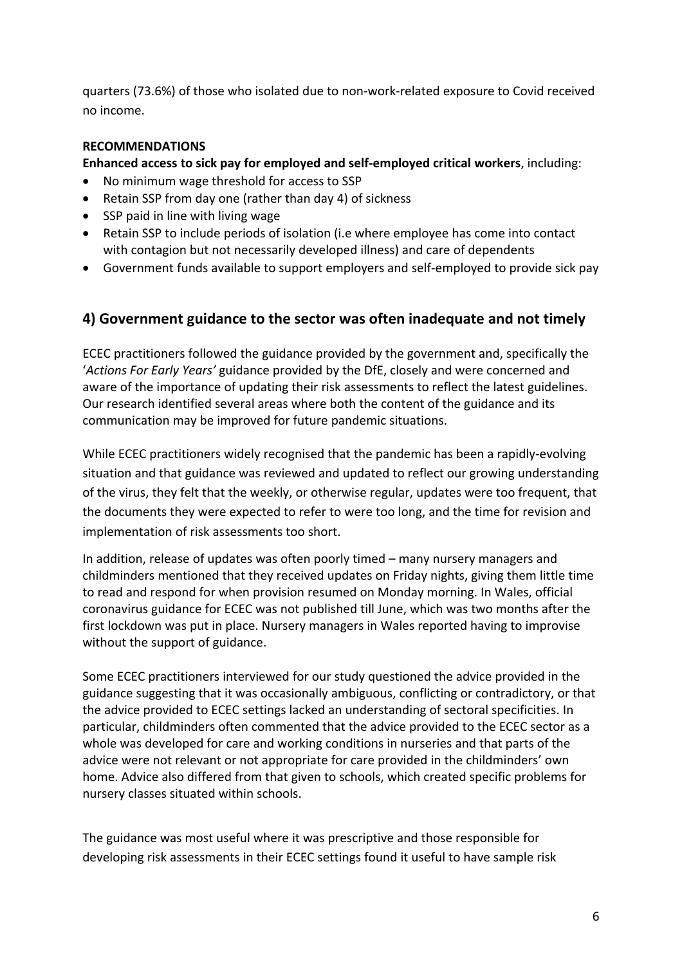quarters (73.6%) of those who isolated due to non-work-related exposure to Covid received no income.

## **RECOMMENDATIONS**

**Enhanced access to sick pay for employed and self-employed critical workers**, including:

- No minimum wage threshold for access to SSP
- Retain SSP from day one (rather than day 4) of sickness
- SSP paid in line with living wage
- Retain SSP to include periods of isolation (i.e where employee has come into contact with contagion but not necessarily developed illness) and care of dependents
- Government funds available to support employers and self-employed to provide sick pay

## **4) Government guidance to the sector was often inadequate and not timely**

ECEC practitioners followed the guidance provided by the government and, specifically the '*Actions For Early Years'* guidance provided by the DfE, closely and were concerned and aware of the importance of updating their risk assessments to reflect the latest guidelines. Our research identified several areas where both the content of the guidance and its communication may be improved for future pandemic situations.

While ECEC practitioners widely recognised that the pandemic has been a rapidly-evolving situation and that guidance was reviewed and updated to reflect our growing understanding of the virus, they felt that the weekly, or otherwise regular, updates were too frequent, that the documents they were expected to refer to were too long, and the time for revision and implementation of risk assessments too short.

In addition, release of updates was often poorly timed – many nursery managers and childminders mentioned that they received updates on Friday nights, giving them little time to read and respond for when provision resumed on Monday morning. In Wales, official coronavirus guidance for ECEC was not published till June, which was two months after the first lockdown was put in place. Nursery managers in Wales reported having to improvise without the support of guidance.

Some ECEC practitioners interviewed for our study questioned the advice provided in the guidance suggesting that it was occasionally ambiguous, conflicting or contradictory, or that the advice provided to ECEC settings lacked an understanding of sectoral specificities. In particular, childminders often commented that the advice provided to the ECEC sector as a whole was developed for care and working conditions in nurseries and that parts of the advice were not relevant or not appropriate for care provided in the childminders' own home. Advice also differed from that given to schools, which created specific problems for nursery classes situated within schools.

The guidance was most useful where it was prescriptive and those responsible for developing risk assessments in their ECEC settings found it useful to have sample risk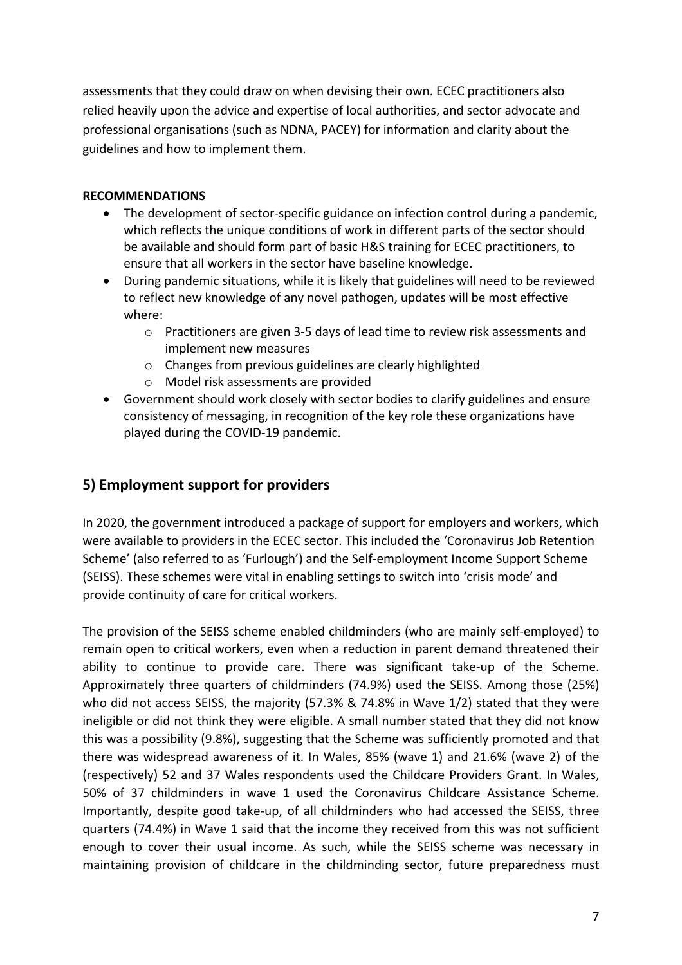assessments that they could draw on when devising their own. ECEC practitioners also relied heavily upon the advice and expertise of local authorities, and sector advocate and professional organisations (such as NDNA, PACEY) for information and clarity about the guidelines and how to implement them.

## **RECOMMENDATIONS**

- The development of sector-specific guidance on infection control during a pandemic, which reflects the unique conditions of work in different parts of the sector should be available and should form part of basic H&S training for ECEC practitioners, to ensure that all workers in the sector have baseline knowledge.
- During pandemic situations, while it is likely that guidelines will need to be reviewed to reflect new knowledge of any novel pathogen, updates will be most effective where:
	- o Practitioners are given 3-5 days of lead time to review risk assessments and implement new measures
	- o Changes from previous guidelines are clearly highlighted
	- o Model risk assessments are provided
- Government should work closely with sector bodies to clarify guidelines and ensure consistency of messaging, in recognition of the key role these organizations have played during the COVID-19 pandemic.

## **5) Employment support for providers**

In 2020, the government introduced a package of support for employers and workers, which were available to providers in the ECEC sector. This included the 'Coronavirus Job Retention Scheme' (also referred to as 'Furlough') and the Self-employment Income Support Scheme (SEISS). These schemes were vital in enabling settings to switch into 'crisis mode' and provide continuity of care for critical workers.

The provision of the SEISS scheme enabled childminders (who are mainly self-employed) to remain open to critical workers, even when a reduction in parent demand threatened their ability to continue to provide care. There was significant take-up of the Scheme. Approximately three quarters of childminders (74.9%) used the SEISS. Among those (25%) who did not access SEISS, the majority (57.3% & 74.8% in Wave 1/2) stated that they were ineligible or did not think they were eligible. A small number stated that they did not know this was a possibility (9.8%), suggesting that the Scheme was sufficiently promoted and that there was widespread awareness of it. In Wales, 85% (wave 1) and 21.6% (wave 2) of the (respectively) 52 and 37 Wales respondents used the Childcare Providers Grant. In Wales, 50% of 37 childminders in wave 1 used the Coronavirus Childcare Assistance Scheme. Importantly, despite good take-up, of all childminders who had accessed the SEISS, three quarters (74.4%) in Wave 1 said that the income they received from this was not sufficient enough to cover their usual income. As such, while the SEISS scheme was necessary in maintaining provision of childcare in the childminding sector, future preparedness must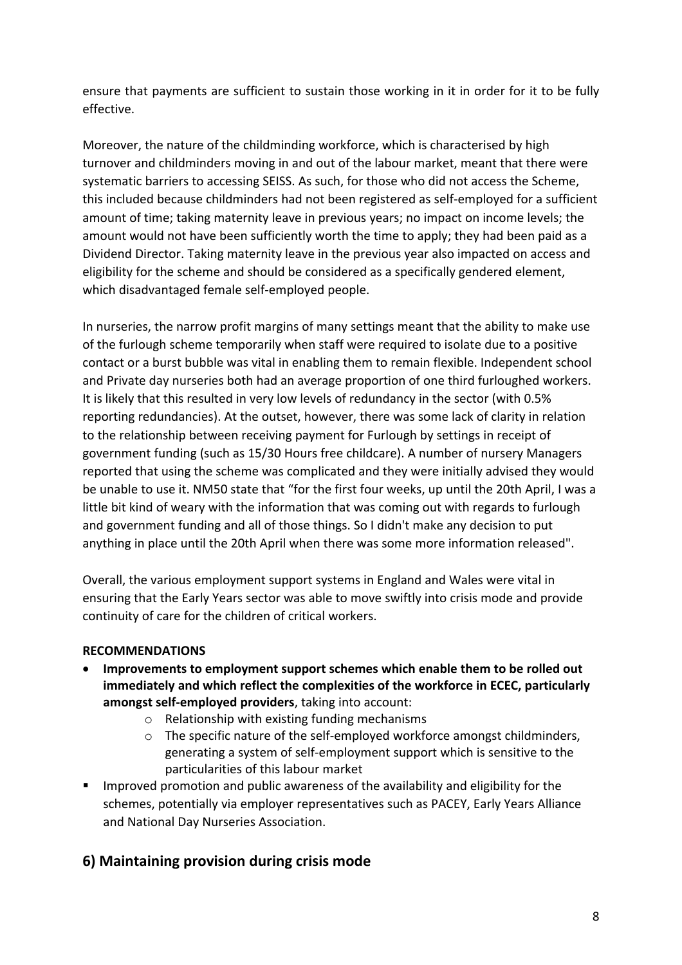ensure that payments are sufficient to sustain those working in it in order for it to be fully effective.

Moreover, the nature of the childminding workforce, which is characterised by high turnover and childminders moving in and out of the labour market, meant that there were systematic barriers to accessing SEISS. As such, for those who did not access the Scheme, this included because childminders had not been registered as self-employed for a sufficient amount of time; taking maternity leave in previous years; no impact on income levels; the amount would not have been sufficiently worth the time to apply; they had been paid as a Dividend Director. Taking maternity leave in the previous year also impacted on access and eligibility for the scheme and should be considered as a specifically gendered element, which disadvantaged female self-employed people.

In nurseries, the narrow profit margins of many settings meant that the ability to make use of the furlough scheme temporarily when staff were required to isolate due to a positive contact or a burst bubble was vital in enabling them to remain flexible. Independent school and Private day nurseries both had an average proportion of one third furloughed workers. It is likely that this resulted in very low levels of redundancy in the sector (with 0.5% reporting redundancies). At the outset, however, there was some lack of clarity in relation to the relationship between receiving payment for Furlough by settings in receipt of government funding (such as 15/30 Hours free childcare). A number of nursery Managers reported that using the scheme was complicated and they were initially advised they would be unable to use it. NM50 state that "for the first four weeks, up until the 20th April, I was a little bit kind of weary with the information that was coming out with regards to furlough and government funding and all of those things. So I didn't make any decision to put anything in place until the 20th April when there was some more information released".

Overall, the various employment support systems in England and Wales were vital in ensuring that the Early Years sector was able to move swiftly into crisis mode and provide continuity of care for the children of critical workers.

## **RECOMMENDATIONS**

- **Improvements to employment support schemes which enable them to be rolled out immediately and which reflect the complexities of the workforce in ECEC, particularly amongst self-employed providers**, taking into account:
	- o Relationship with existing funding mechanisms
	- $\circ$  The specific nature of the self-employed workforce amongst childminders, generating a system of self-employment support which is sensitive to the particularities of this labour market
- **IMPROVED PROMOTION AND PUBLIC ARTLE 2015 CONTENT** and eligibility for the schemes, potentially via employer representatives such as PACEY, Early Years Alliance and National Day Nurseries Association.

# **6) Maintaining provision during crisis mode**